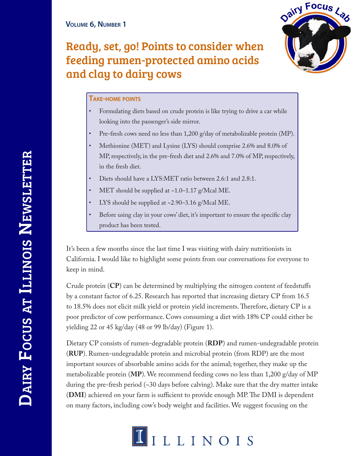

## Ready, set, go! Points to consider when feeding rumen-protected amino acids and clay to dairy cows

## **TAKE-HOME POINTS**

- Formulating diets based on crude protein is like trying to drive a car while looking into the passenger's side mirror.
- Pre-fresh cows need no less than 1,200 g/day of metabolizable protein (MP).
- Methionine (MET) and Lysine (LYS) should comprise 2.6% and 8.0% of MP, respectively, in the pre-fresh diet and 2.6% and 7.0% of MP, respectively, in the fresh diet.
- Diets should have a LYS:MET ratio between 2.6:1 and 2.8:1.
- MET should be supplied at  $~1.0-1.17$  g/Mcal ME.
- LYS should be supplied at  $\sim$ 2.90–3.16 g/Mcal ME.
- Before using clay in your cows' diet, it's important to ensure the specific clay product has been tested.

It's been a few months since the last time I was visiting with dairy nutritionists in California. I would like to highlight some points from our conversations for everyone to keep in mind.

Crude protein (**CP**) can be determined by multiplying the nitrogen content of feedstuffs by a constant factor of 6.25. Research has reported that increasing dietary CP from 16.5 to 18.5% does not elicit milk yield or protein yield increments. Therefore, dietary CP is a poor predictor of cow performance. Cows consuming a diet with 18% CP could either be yielding 22 or 45 kg/day (48 or 99 lb/day) (Figure 1).

Dietary CP consists of rumen-degradable protein (**RDP**) and rumen-undegradable protein (**RUP**). Rumen-undegradable protein and microbial protein (from RDP) are the most important sources of absorbable amino acids for the animal; together, they make up the metabolizable protein (**MP**). We recommend feeding cows no less than 1,200 g/day of MP during the pre-fresh period (~30 days before calving). Make sure that the dry matter intake (**DMI**) achieved on your farm is sufficient to provide enough MP. The DMI is dependent on many factors, including cow's body weight and facilities. We suggest focusing on the

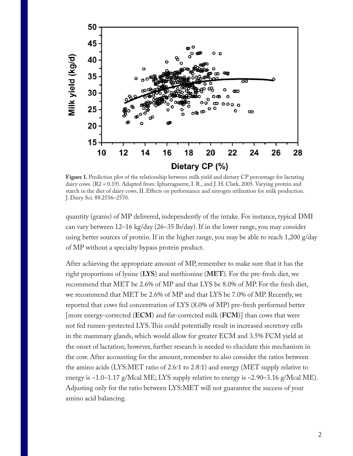

**Figure 1.** Prediction plot of the relationship between milk yield and dietary CP percentage for lactating dairy cows. (R2 = 0.19). Adapted from: Ipharraguerre, I. R., and J. H. Clark. 2005. Varying protein and starch in the diet of dairy cows. II. Effects on performance and nitrogen utilization for milk production. J. Dairy Sci. 88:2556–2570.

quantity (grams) of MP delivered, independently of the intake. For instance, typical DMI can vary between 12–16 kg/day (26–35 lb/day). If in the lower range, you may consider using better sources of protein. If in the higher range, you may be able to reach 1,200 g/day of MP without a specialty bypass protein product.

After achieving the appropriate amount of MP, remember to make sure that it has the right proportions of lysine (**LYS**) and methionine (**MET**). For the pre-fresh diet, we recommend that MET be 2.6% of MP and that LYS be 8.0% of MP. For the fresh diet, we recommend that MET be 2.6% of MP and that LYS be 7.0% of MP. Recently, we reported that cows fed concentration of LYS (8.0% of MP) pre-fresh performed better [more energy-corrected (**ECM**) and fat-corrected milk (**FCM**)] than cows that were not fed rumen-protected LYS. This could potentially result in increased secretory cells in the mammary glands, which would allow for greater ECM and 3.5% FCM yield at the onset of lactation; however, further research is needed to elucidate this mechanism in the cow. After accounting for the amount, remember to also consider the ratios between the amino acids (LYS:MET ratio of 2.6:1 to 2.8:1) and energy (MET supply relative to energy is ~1.0–1.17 g/Mcal ME; LYS supply relative to energy is ~2.90–3.16 g/Mcal ME). Adjusting only for the ratio between LYS:MET will not guarantee the success of your amino acid balancing.